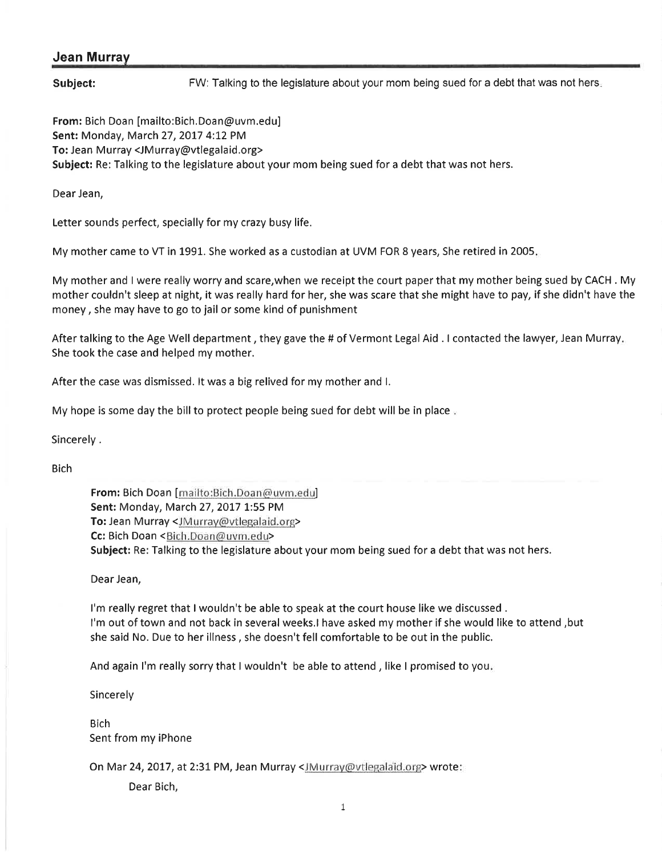## Jean Murray

Subject: FW: Talking to the legislature about your mom being sued for a debt that was not hers.

From: Bich Doan [mailto:Bich.Doan@uvm.edu] Sent: Monday, March 27, 2017 4:12 PM To: Jean Murray <JMurray@vtlegalaid.org> Subject: Re: Talking to the legislature about your mom being sued for a debt that was not hers.

Dear Jean,

Letter sounds perfect, specially for my crazy busy life.

My mother came to VT in 1991. She worked as a custodian at UVM FOR 8 years, She retired in 2005

My mother and I were really worry and scare,when we receipt the court paper that my mother being sued by CACH . My mother couldn't sleep at night, it was really hard for her, she was scare that she might have to pay, if she didn't have the money, she may have to go to jail or some kind of punishment

After talking to the Age Well department, they gave the # of Vermont Legal Aid. I contacted the lawyer, Jean Murray. She took the case and helped my mother.

After the case was dismissed. lt was a big relived for my mother and l.

My hope is some day the bill to protect people being sued for debt will be in place.

Sincerely .

Bich

From: Bich Doan [mailto:Bich,Doan@uvm.edu] Sent: Monday, March 27, 2017 1:55 PM To: Jean Murray <JMurray@vtlegalaid.org> Cc: Bich Doan <Bich.Doan@uvm.edu> Subject: Re: Talking to the legislature about your mom being sued for a debt that was not hers.

Dear Jean,

I'm really regret that I wouldn't be able to speak at the court house like we discussed , I'm out of town and not back in several weeks.l have asked my mother if she would like to attend ,but she said No. Due to her illness, she doesn't fell comfortable to be out in the public.

And again I'm really sorry that I wouldn't be able to attend , like I promised to you

Sincerely

**Bich** Sent from my iPhone

On Mar 24, 2017, at 2:31 PM, Jean Murray <JMurray@vtlegalaid.org> wrote:

Dear Bich,